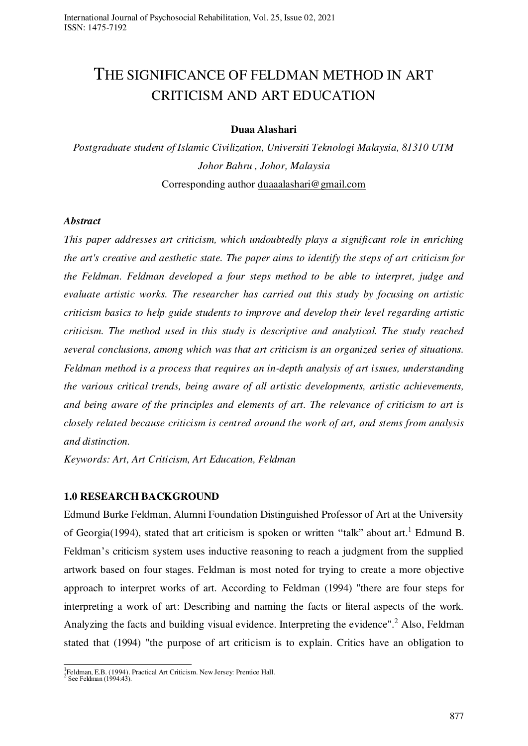# THE SIGNIFICANCE OF FELDMAN METHOD IN ART CRITICISM AND ART EDUCATION

### **Duaa Alashari**

*Postgraduate student of Islamic Civilization, Universiti Teknologi Malaysia, 81310 UTM Johor Bahru , Johor, Malaysia*  Corresponding author [duaaalashari@gmail.com](mailto:duaaalashari@gmail.com) 

#### *Abstract*

*This paper addresses art criticism, which undoubtedly plays a significant role in enriching the art's creative and aesthetic state. The paper aims to identify the steps of art criticism for the Feldman. Feldman developed a four steps method to be able to interpret, judge and evaluate artistic works. The researcher has carried out this study by focusing on artistic criticism basics to help guide students to improve and develop their level regarding artistic criticism. The method used in this study is descriptive and analytical. The study reached several conclusions, among which was that art criticism is an organized series of situations. Feldman method is a process that requires an in-depth analysis of art issues, understanding the various critical trends, being aware of all artistic developments, artistic achievements, and being aware of the principles and elements of art. The relevance of criticism to art is closely related because criticism is centred around the work of art, and stems from analysis and distinction.* 

*Keywords: Art, Art Criticism, Art Education, Feldman* 

#### **1.0 RESEARCH BACKGROUND**

Edmund Burke Feldman, Alumni Foundation Distinguished Professor of Art at the University of Georgia(1994), stated that art criticism is spoken or written "talk" about art.<sup>1</sup> Edmund B. Feldman's criticism system uses inductive reasoning to reach a judgment from the supplied artwork based on four stages. Feldman is most noted for trying to create a more objective approach to interpret works of art. According to Feldman (1994) "there are four steps for interpreting a work of art: Describing and naming the facts or literal aspects of the work. Analyzing the facts and building visual evidence. Interpreting the evidence".<sup>2</sup> Also, Feldman stated that (1994) "the purpose of art criticism is to explain. Critics have an obligation to

<sup>1&</sup>lt;br>Feldman, E.B. (1994). Practical Art Criticism. New Jersey: Prentice Hall.

See Feldman (1994:43).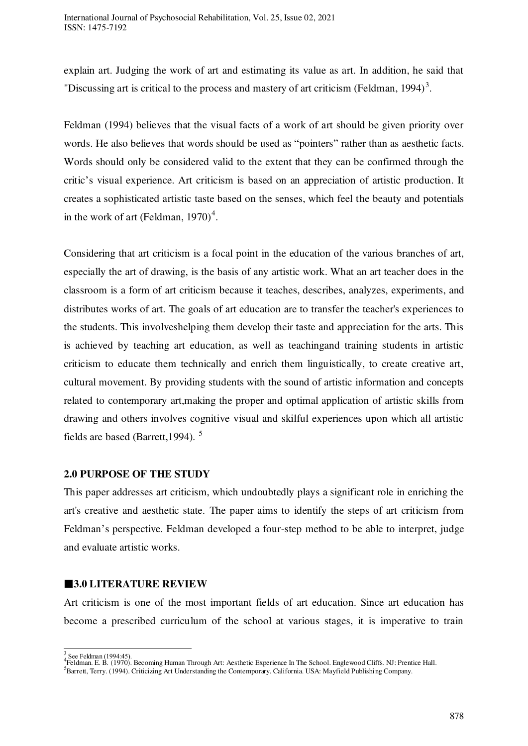explain art. Judging the work of art and estimating its value as art. In addition, he said that "Discussing art is critical to the process and mastery of art criticism (Feldman, 1994)<sup>3</sup>.

Feldman (1994) believes that the visual facts of a work of art should be given priority over words. He also believes that words should be used as "pointers" rather than as aesthetic facts. Words should only be considered valid to the extent that they can be confirmed through the critic's visual experience. Art criticism is based on an appreciation of artistic production. It creates a sophisticated artistic taste based on the senses, which feel the beauty and potentials in the work of art (Feldman,  $1970)^4$ .

Considering that art criticism is a focal point in the education of the various branches of art, especially the art of drawing, is the basis of any artistic work. What an art teacher does in the classroom is a form of art criticism because it teaches, describes, analyzes, experiments, and distributes works of art. The goals of art education are to transfer the teacher's experiences to the students. This involveshelping them develop their taste and appreciation for the arts. This is achieved by teaching art education, as well as teachingand training students in artistic criticism to educate them technically and enrich them linguistically, to create creative art, cultural movement. By providing students with the sound of artistic information and concepts related to contemporary art,making the proper and optimal application of artistic skills from drawing and others involves cognitive visual and skilful experiences upon which all artistic fields are based (Barrett,1994). <sup>5</sup>

#### **2.0 PURPOSE OF THE STUDY**

This paper addresses art criticism, which undoubtedly plays a significant role in enriching the art's creative and aesthetic state. The paper aims to identify the steps of art criticism from Feldman's perspective. Feldman developed a four-step method to be able to interpret, judge and evaluate artistic works.

#### **3.0 LITERATURE REVIEW**

Art criticism is one of the most important fields of art education. Since art education has become a prescribed curriculum of the school at various stages, it is imperative to train

 $\overline{a}$ 

<sup>3&</sup>lt;br><sup>4</sup>Feldman. E. B. (1970). Becoming Human Through Art: Aesthetic Experience In The School. Englewood Cliffs. NJ: Prentice Hall.

<sup>5</sup>Barrett, Terry. (1994). Criticizing Art Understanding the Contemporary. California. USA: Mayfield Publishing Company.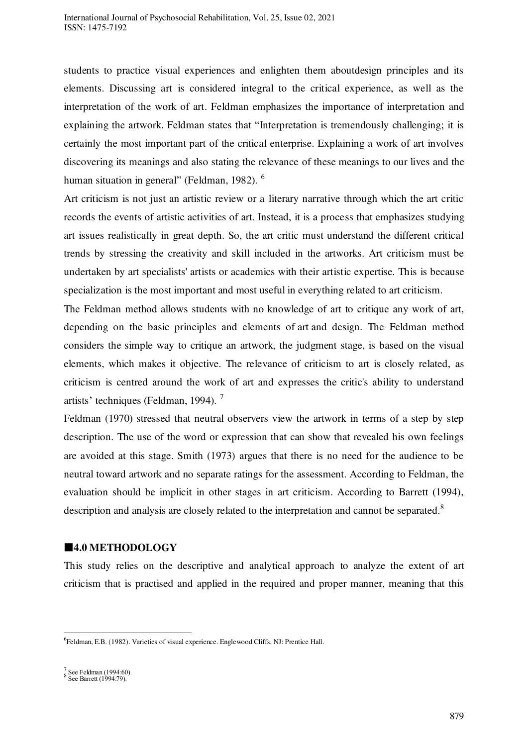students to practice visual experiences and enlighten them aboutdesign principles and its elements. Discussing art is considered integral to the critical experience, as well as the interpretation of the work of art. Feldman emphasizes the importance of interpretation and explaining the artwork. Feldman states that "Interpretation is tremendously challenging; it is certainly the most important part of the critical enterprise. Explaining a work of art involves discovering its meanings and also stating the relevance of these meanings to our lives and the human situation in general" (Feldman, 1982). <sup>6</sup>

Art criticism is not just an artistic review or a literary narrative through which the art critic records the events of artistic activities of art. Instead, it is a process that emphasizes studying art issues realistically in great depth. So, the art critic must understand the different critical trends by stressing the creativity and skill included in the artworks. Art criticism must be undertaken by art specialists' artists or academics with their artistic expertise. This is because specialization is the most important and most useful in everything related to art criticism.

The Feldman method allows students with no knowledge of art to critique any work of art, depending on the basic principles and elements of art and design. The Feldman method considers the simple way to critique an artwork, the judgment stage, is based on the visual elements, which makes it objective. The relevance of criticism to art is closely related, as criticism is centred around the work of art and expresses the critic's ability to understand artists' techniques (Feldman, 1994). <sup>7</sup>

Feldman (1970) stressed that neutral observers view the artwork in terms of a step by step description. The use of the word or expression that can show that revealed his own feelings are avoided at this stage. Smith (1973) argues that there is no need for the audience to be neutral toward artwork and no separate ratings for the assessment. According to Feldman, the evaluation should be implicit in other stages in art criticism. According to Barrett (1994), description and analysis are closely related to the interpretation and cannot be separated.<sup>8</sup>

#### **4.0 METHODOLOGY**

This study relies on the descriptive and analytical approach to analyze the extent of art criticism that is practised and applied in the required and proper manner, meaning that this

 $\overline{a}$ 

<sup>&</sup>lt;sup>6</sup>Feldman, E.B. (1982). Varieties of visual experience. Englewood Cliffs, NJ: Prentice Hall.

<sup>&</sup>lt;sup>7</sup> See Feldman (1994:60).<br><sup>8</sup> See Barrett (1994:79).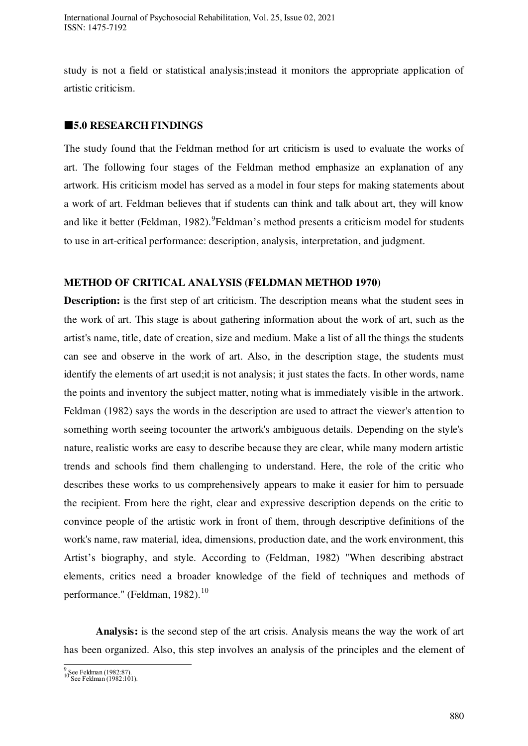study is not a field or statistical analysis;instead it monitors the appropriate application of artistic criticism.

## **5.0 RESEARCH FINDINGS**

The study found that the Feldman method for art criticism is used to evaluate the works of art. The following four stages of the Feldman method emphasize an explanation of any artwork. His criticism model has served as a model in four steps for making statements about a work of art. Feldman believes that if students can think and talk about art, they will know and like it better (Feldman, 1982).<sup>9</sup> Feldman's method presents a criticism model for students to use in art-critical performance: description, analysis, interpretation, and judgment.

#### **METHOD OF CRITICAL ANALYSIS (FELDMAN METHOD 1970)**

**Description:** is the first step of art criticism. The description means what the student sees in the work of art. This stage is about gathering information about the work of art, such as the artist's name, title, date of creation, size and medium. Make a list of all the things the students can see and observe in the work of art. Also, in the description stage, the students must identify the elements of art used;it is not analysis; it just states the facts. In other words, name the points and inventory the subject matter, noting what is immediately visible in the artwork. Feldman (1982) says the words in the description are used to attract the viewer's attention to something worth seeing tocounter the artwork's ambiguous details. Depending on the style's nature, realistic works are easy to describe because they are clear, while many modern artistic trends and schools find them challenging to understand. Here, the role of the critic who describes these works to us comprehensively appears to make it easier for him to persuade the recipient. From here the right, clear and expressive description depends on the critic to convince people of the artistic work in front of them, through descriptive definitions of the work's name, raw material, idea, dimensions, production date, and the work environment, this Artist's biography, and style. According to (Feldman, 1982) "When describing abstract elements, critics need a broader knowledge of the field of techniques and methods of performance." (Feldman, 1982).<sup>10</sup>

**Analysis:** is the second step of the art crisis. Analysis means the way the work of art has been organized. Also, this step involves an analysis of the principles and the element of

<sup>9&</sup>lt;br>10 See Feldman (1982:87).<br>10 See Feldman (1982:101).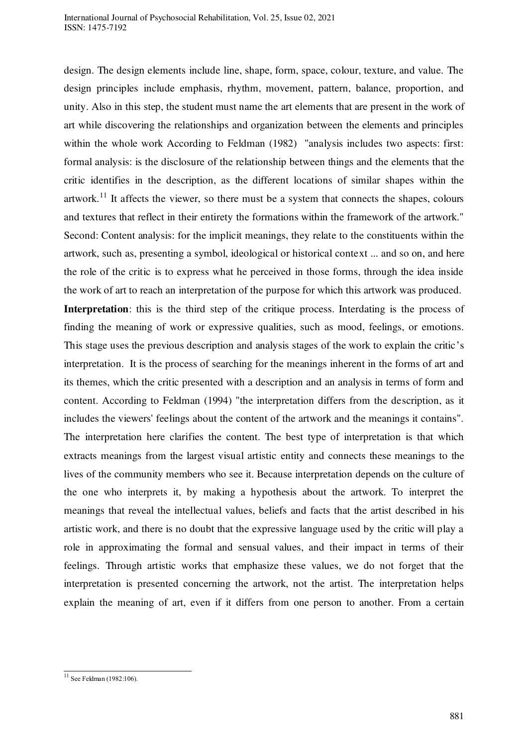design. The design elements include line, shape, form, space, colour, texture, and value. The design principles include emphasis, rhythm, movement, pattern, balance, proportion, and unity. Also in this step, the student must name the art elements that are present in the work of art while discovering the relationships and organization between the elements and principles within the whole work According to Feldman (1982) "analysis includes two aspects: first: formal analysis: is the disclosure of the relationship between things and the elements that the critic identifies in the description, as the different locations of similar shapes within the artwork.<sup>11</sup> It affects the viewer, so there must be a system that connects the shapes, colours and textures that reflect in their entirety the formations within the framework of the artwork." Second: Content analysis: for the implicit meanings, they relate to the constituents within the artwork, such as, presenting a symbol, ideological or historical context ... and so on, and here the role of the critic is to express what he perceived in those forms, through the idea inside the work of art to reach an interpretation of the purpose for which this artwork was produced. **Interpretation**: this is the third step of the critique process. Interdating is the process of finding the meaning of work or expressive qualities, such as mood, feelings, or emotions. This stage uses the previous description and analysis stages of the work to explain the critic's interpretation. It is the process of searching for the meanings inherent in the forms of art and its themes, which the critic presented with a description and an analysis in terms of form and content. According to Feldman (1994) "the interpretation differs from the description, as it includes the viewers' feelings about the content of the artwork and the meanings it contains". The interpretation here clarifies the content. The best type of interpretation is that which extracts meanings from the largest visual artistic entity and connects these meanings to the lives of the community members who see it. Because interpretation depends on the culture of the one who interprets it, by making a hypothesis about the artwork. To interpret the meanings that reveal the intellectual values, beliefs and facts that the artist described in his artistic work, and there is no doubt that the expressive language used by the critic will play a role in approximating the formal and sensual values, and their impact in terms of their feelings. Through artistic works that emphasize these values, we do not forget that the interpretation is presented concerning the artwork, not the artist. The interpretation helps explain the meaning of art, even if it differs from one person to another. From a certain

 $\overline{a}$  $11$  See Feldman (1982:106).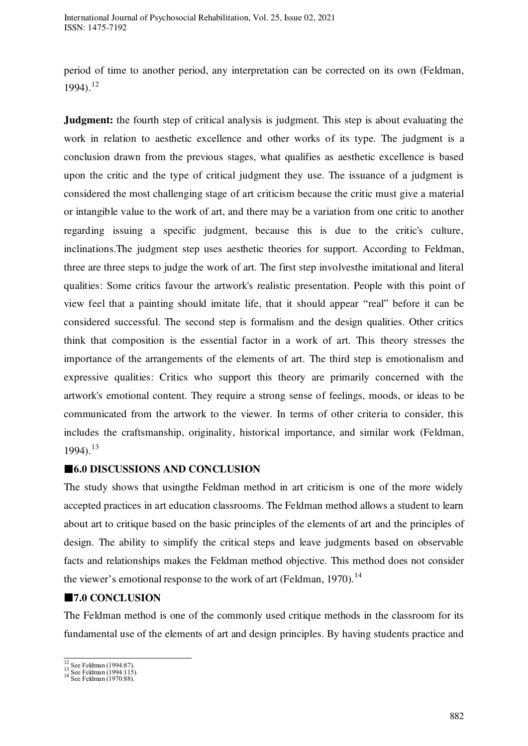period of time to another period, any interpretation can be corrected on its own (Feldman,  $1994$ ).<sup>12</sup>

**Judgment:** the fourth step of critical analysis is judgment. This step is about evaluating the work in relation to aesthetic excellence and other works of its type. The judgment is a conclusion drawn from the previous stages, what qualifies as aesthetic excellence is based upon the critic and the type of critical judgment they use. The issuance of a judgment is considered the most challenging stage of art criticism because the critic must give a material or intangible value to the work of art, and there may be a variation from one critic to another regarding issuing a specific judgment, because this is due to the critic's culture, inclinations.The judgment step uses aesthetic theories for support. According to Feldman, three are three steps to judge the work of art. The first step involvesthe imitational and literal qualities: Some critics favour the artwork's realistic presentation. People with this point of view feel that a painting should imitate life, that it should appear "real" before it can be considered successful. The second step is formalism and the design qualities. Other critics think that composition is the essential factor in a work of art. This theory stresses the importance of the arrangements of the elements of art. The third step is emotionalism and expressive qualities: Critics who support this theory are primarily concerned with the artwork's emotional content. They require a strong sense of feelings, moods, or ideas to be communicated from the artwork to the viewer. In terms of other criteria to consider, this includes the craftsmanship, originality, historical importance, and similar work (Feldman,  $1994$ ).<sup>13</sup>

## **6.0 DISCUSSIONS AND CONCLUSION**

The study shows that usingthe Feldman method in art criticism is one of the more widely accepted practices in art education classrooms. The Feldman method allows a student to learn about art to critique based on the basic principles of the elements of art and the principles of design. The ability to simplify the critical steps and leave judgments based on observable facts and relationships makes the Feldman method objective. This method does not consider the viewer's emotional response to the work of art (Feldman, 1970).<sup>14</sup>

## **■7.0 CONCLUSION**

The Feldman method is one of the commonly used critique methods in the classroom for its fundamental use of the elements of art and design principles. By having students practice and

 $\overline{a}$ 

<sup>&</sup>lt;sup>12</sup> See Feldman (1994:87).<br><sup>13</sup> See Feldman (1994:115).<br><sup>14</sup> See Feldman (1970:88).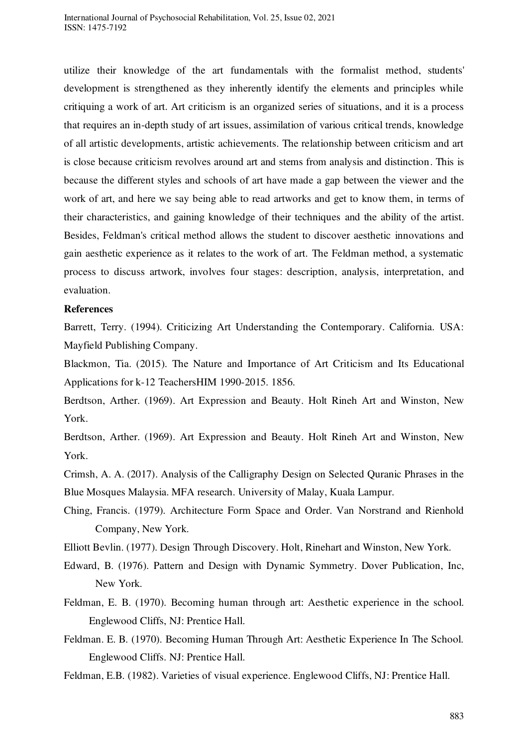utilize their knowledge of the art fundamentals with the formalist method, students' development is strengthened as they inherently identify the elements and principles while critiquing a work of art. Art criticism is an organized series of situations, and it is a process that requires an in-depth study of art issues, assimilation of various critical trends, knowledge of all artistic developments, artistic achievements. The relationship between criticism and art is close because criticism revolves around art and stems from analysis and distinction. This is because the different styles and schools of art have made a gap between the viewer and the work of art, and here we say being able to read artworks and get to know them, in terms of their characteristics, and gaining knowledge of their techniques and the ability of the artist. Besides, Feldman's critical method allows the student to discover aesthetic innovations and gain aesthetic experience as it relates to the work of art. The Feldman method, a systematic process to discuss artwork, involves four stages: description, analysis, interpretation, and evaluation.

#### **References**

Barrett, Terry. (1994). Criticizing Art Understanding the Contemporary. California. USA: Mayfield Publishing Company.

Blackmon, Tia. (2015). The Nature and Importance of Art Criticism and Its Educational Applications for k-12 TeachersHIM 1990-2015. 1856.

Berdtson, Arther. (1969). Art Expression and Beauty. Holt Rineh Art and Winston, New York.

Berdtson, Arther. (1969). Art Expression and Beauty. Holt Rineh Art and Winston, New York.

Crimsh, A. A. (2017). Analysis of the Calligraphy Design on Selected Quranic Phrases in the Blue Mosques Malaysia. MFA research. University of Malay, Kuala Lampur.

Ching, Francis. (1979). Architecture Form Space and Order. Van Norstrand and Rienhold Company, New York.

Elliott Bevlin. (1977). Design Through Discovery. Holt, Rinehart and Winston, New York.

- Edward, B. (1976). Pattern and Design with Dynamic Symmetry. Dover Publication, Inc, New York.
- Feldman, E. B. (1970). Becoming human through art: Aesthetic experience in the school. Englewood Cliffs, NJ: Prentice Hall.
- Feldman. E. B. (1970). Becoming Human Through Art: Aesthetic Experience In The School. Englewood Cliffs. NJ: Prentice Hall.

Feldman, E.B. (1982). Varieties of visual experience. Englewood Cliffs, NJ: Prentice Hall.